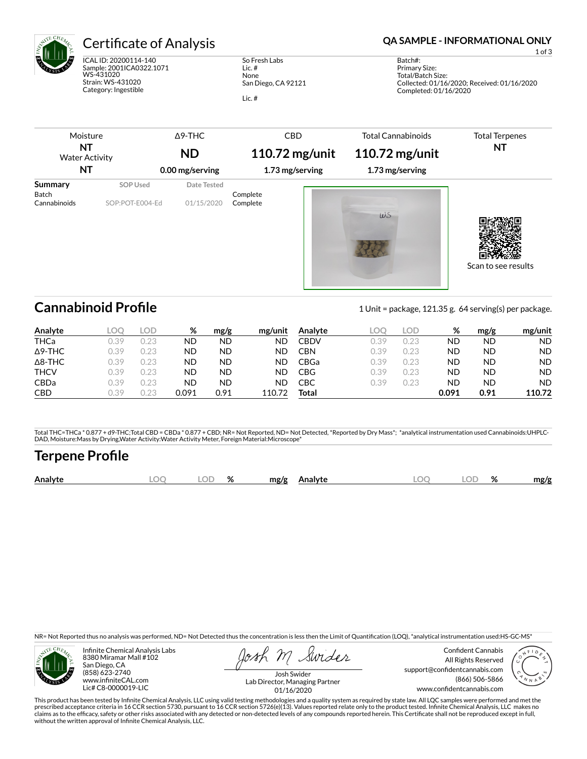

ICAL ID: 20200114-140 Sample: 2001ICA0322.1071 WS-431020 Strain: WS-431020 Category: Ingestible

So Fresh Labs Lic. # None San Diego, CA 92121 Lic. #

## Certificate of Analysis **Certificate of Analysis QA SAMPLE - INFORMATIONAL ONLY**

1 of 3

Batch#: Primary Size: Total/Batch Size: Collected: 01/16/2020; Received: 01/16/2020 Completed: 01/16/2020

| Moisture                     |                 | $\Delta$ 9-THC  | <b>CBD</b>           | <b>Total Cannabinoids</b> | <b>Total Terpenes</b> |
|------------------------------|-----------------|-----------------|----------------------|---------------------------|-----------------------|
| NT<br><b>Water Activity</b>  |                 | <b>ND</b>       | 110.72 $mg$ /unit    | 110.72 $mg$ /unit         | NT                    |
| NT                           |                 | 0.00 mg/serving | 1.73 mg/serving      | 1.73 mg/serving           |                       |
| Summary                      | <b>SOP Used</b> | Date Tested     |                      |                           |                       |
| <b>Batch</b><br>Cannabinoids | SOP:POT-E004-Ed | 01/15/2020      | Complete<br>Complete | WS                        |                       |
|                              |                 |                 |                      |                           | Scan to see results   |

**Cannabinoid Profile** 1 Unit = package, 121.35 g. 64 serving(s) per package.

| Analyte        | LOO  | LOD. | %     | mg/g | mg/unit | Analyte     | LOC  | LOD. | ℅     | mg/g | mg/unit   |
|----------------|------|------|-------|------|---------|-------------|------|------|-------|------|-----------|
| <b>THCa</b>    | 0.39 | 0.23 | ND    | ND   | ND      | <b>CBDV</b> | 0.39 | 0.23 | ΝD    | ND   | <b>ND</b> |
| $\Delta$ 9-THC | 0.39 | 0.23 | ND    | ND   | ND      | CBN         | 0.39 | 0.23 | ΝD    | ND   | <b>ND</b> |
| $\Delta$ 8-THC | 0.39 | 0.23 | ND    | ND   | ND      | CBGa        | 0.39 | 0.23 | ND    | ND   | <b>ND</b> |
| <b>THCV</b>    | 0.39 | 0.23 | ND    | ND   | ND      | CBG         | 0.39 | 0.23 | ΝD    | ND   | <b>ND</b> |
| <b>CBDa</b>    | 0.39 | 0.23 | ND    | ND   | ND      | СВС         | 0.39 | 0.23 | ΝD    | ND   | <b>ND</b> |
| <b>CBD</b>     | ).39 | ).23 | 0.091 | 0.91 | 110.72  | Total       |      |      | 0.091 | 0.91 | 110.72    |

Total THC=THCa \* 0.877 + d9-THC;Total CBD = CBDa \* 0.877 + CBD; NR= Not Reported, ND= Not Detected, \*Reported by Dry Mass\*; \*analytical instrumentation used Cannabinoids:UHPLC-DAD, Moisture:Mass by Drying,Water Activity:Water Activity Meter, Foreign Material:Microscope\*

# **Terpene Profile**

| OГ<br>Analyte<br>Ιſ<br>ЭΓ<br>mg/g<br>mg/g<br><b>\nalvte</b><br>7٥<br>70 |
|-------------------------------------------------------------------------|
|-------------------------------------------------------------------------|

NR= Not Reported thus no analysis was performed, ND= Not Detected thus the concentration is less then the Limit of Quantification (LOQ), \*analytical instrumentation used:HS-GC-MS\*



Infinite Chemical Analysis Labs 8380 Miramar Mall #102 San Diego, CA (858) 623-2740 www.infiniteCAL.com Lic# C8-0000019-LIC

Swides

Confident Cannabis All Rights Reserved support@confidentcannabis.com (866) 506-5866 www.confidentcannabis.com



Josh Swider Lab Director, Managing Partner 01/16/2020

This product has been tested by Infinite Chemical Analysis, LLC using valid testing methodologies and a quality system as required by state law. All LQC samples were performed and met the<br>prescribed acceptance criteria in without the written approval of Infinite Chemical Analysis, LLC.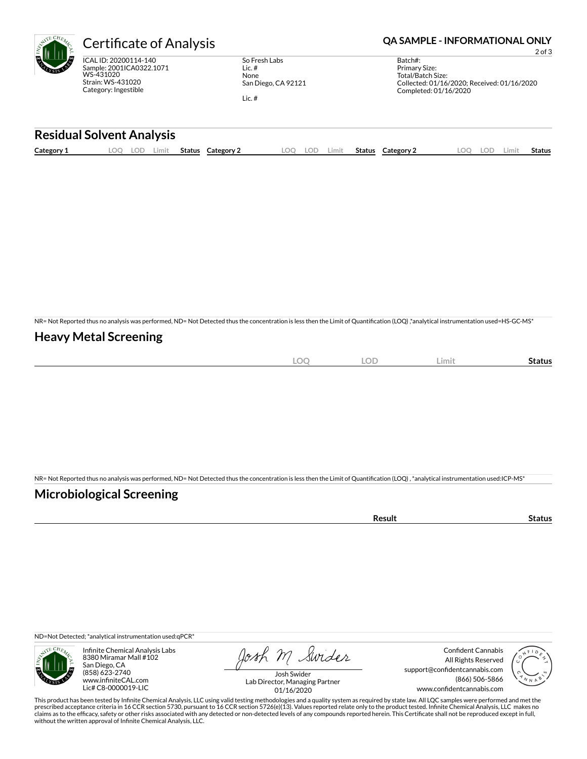

ICAL ID: 20200114-140 Sample: 2001ICA0322.1071 WS-431020 Strain: WS-431020 Category: Ingestible

So Fresh Labs Lic. # None San Diego, CA 92121 Lic. #

Certificate of Analysis **Certificate of Analysis QA SAMPLE - INFORMATIONAL ONLY** 

2 of 3

| Batch#:                                     |
|---------------------------------------------|
| Primary Size:                               |
| Total/Batch Size:                           |
| Collected: 01/16/2020: Received: 01/16/2020 |
| Completed: 01/16/2020                       |
|                                             |

### **Residual Solvent Analysis**

|  | Category 1 | $\sim$ $\sim$<br><u>.</u> | -UL | Limit | Status | Category | OO | LOD | Limit | <b>Status</b> | Category 2 | nn<br>$\sim$ | LOD | .imi | Status |
|--|------------|---------------------------|-----|-------|--------|----------|----|-----|-------|---------------|------------|--------------|-----|------|--------|
|--|------------|---------------------------|-----|-------|--------|----------|----|-----|-------|---------------|------------|--------------|-----|------|--------|

NR= Not Reported thus no analysis was performed, ND= Not Detected thus the concentration is less then the Limit of Quantification (LOQ),\*analytical instrumentation used=HS-GC-MS\*

### **Heavy Metal Screening**

| $\sim$<br>к<br>$-$<br>$\sim$ | $\cap \Gamma$<br>◡ | Limi | Status |
|------------------------------|--------------------|------|--------|
|                              |                    |      |        |

NR= Not Reported thus no analysis was performed, ND= Not Detected thus the concentration is less then the Limit of Quantification (LOQ) , \*analytical instrumentation used:ICP-MS\*

### **Microbiological Screening**

| ` sult ∴ |  |
|----------|--|
|          |  |

ND=Not Detected; \*analytical instrumentation used:qPCR\*



Infinite Chemical Analysis Labs 8380 Miramar Mall #102 San Diego, CA (858) 623-2740 www.infiniteCAL.com Lic# C8-0000019-LIC

Josh M Swider

Confident Cannabis All Rights Reserved support@confidentcannabis.com (866) 506-5866 www.confidentcannabis.com



Josh Swider Lab Director, Managing Partner 01/16/2020

This product has been tested by Infinite Chemical Analysis, LLC using valid testing methodologies and a quality system as required by state law. All LQC samples were performed and met the<br>prescribed acceptance criteria in without the written approval of Infinite Chemical Analysis, LLC.